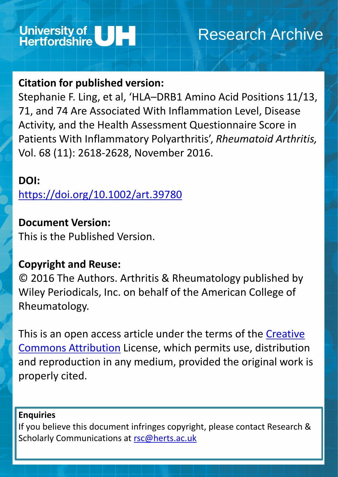

# Research Archive

## **Citation for published version:**

Stephanie F. Ling, et al, 'HLA–DRB1 Amino Acid Positions 11/13, 71, and 74 Are Associated With Inflammation Level, Disease Activity, and the Health Assessment Questionnaire Score in Patients With Inflammatory Polyarthritis', *Rheumatoid Arthritis,*  Vol. 68 (11): 2618-2628, November 2016.

## **DOI:**

[This is an open access article under the terms of the](http://creativecommons.org/licenses/by/4.0/) Creative Commons Attribution License, which permits use, distribution

<https://doi.org/10.1002/art.39780>

## **Document Version:**

If you believe this document infringes copyright, please contact Research & Scholarly Communications at [rsc@herts.ac.uk](mailto:rsc@herts.ac.uk)

This is the Published Version.

## **Copyright and Reuse:**

© 2016 The Authors. Arthritis & Rheumatology published by Wiley Periodicals, Inc. on behalf of the American College of Rheumatology.

## and reproduction in any medium, provided the original work is properly cited.

### **Enquiries**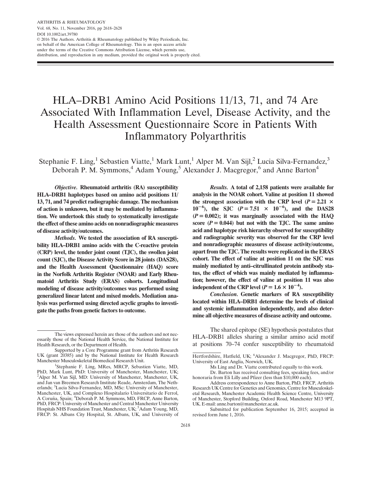### HLA–DRB1 Amino Acid Positions 11/13, 71, and 74 Are Associated With Inflammation Level, Disease Activity, and the Health Assessment Questionnaire Score in Patients With Inflammatory Polyarthritis

Stephanie F. Ling,<sup>1</sup> Sebastien Viatte,<sup>1</sup> Mark Lunt,<sup>1</sup> Alper M. Van Sijl,<sup>2</sup> Lucia Silva-Fernandez,<sup>3</sup> Deborah P. M. Symmons,<sup>4</sup> Adam Young,<sup>5</sup> Alexander J. Macgregor,<sup>6</sup> and Anne Barton<sup>4</sup>

Objective. Rheumatoid arthritis (RA) susceptibility HLA–DRB1 haplotypes based on amino acid positions 11/ 13, 71, and 74 predict radiographic damage. The mechanism of action is unknown, but it may be mediated by inflammation. We undertook this study to systematically investigate the effect of these amino acids on nonradiographic measures of disease activity/outcomes.

Methods. We tested the association of RA susceptibility HLA–DRB1 amino acids with the C-reactive protein (CRP) level, the tender joint count (TJC), the swollen joint count (SJC), the Disease Activity Score in 28 joints (DAS28), and the Health Assessment Questionnaire (HAQ) score in the Norfolk Arthritis Register (NOAR) and Early Rheumatoid Arthritis Study (ERAS) cohorts. Longitudinal modeling of disease activity/outcomes was performed using generalized linear latent and mixed models. Mediation analysis was performed using directed acyclic graphs to investigate the paths from genetic factors to outcome.

Results. A total of 2,158 patients were available for analysis in the NOAR cohort. Valine at position 11 showed the strongest association with the CRP level ( $P = 2.21 \times$  $10^{-6}$ ), the SJC (P = 7.51  $\times$  10<sup>-6</sup>), and the DAS28  $(P = 0.002)$ ; it was marginally associated with the HAQ score  $(P = 0.044)$  but not with the TJC. The same amino acid and haplotype risk hierarchy observed for susceptibility and radiographic severity was observed for the CRP level and nonradiographic measures of disease activity/outcome, apart from the TJC. The results were replicated in the ERAS cohort. The effect of valine at position 11 on the SJC was mainly mediated by anti–citrullinated protein antibody status, the effect of which was mainly mediated by inflammation; however, the effect of valine at position 11 was also independent of the CRP level ( $P = 1.6 \times 10^{-4}$ ).

Conclusion. Genetic markers of RA susceptibility located within HLA–DRB1 determine the levels of clinical and systemic inflammation independently, and also determine all objective measures of disease activity and outcome.

The shared epitope (SE) hypothesis postulates that HLA–DRB1 alleles sharing a similar amino acid motif at positions 70–74 confer susceptibility to rheumatoid

Ms Ling and Dr. Viatte contributed equally to this work.

Dr. Barton has received consulting fees, speaking fees, and/or honoraria from Eli Lilly and Pfizer (less than \$10,000 each).

Submitted for publication September 16, 2015; accepted in revised form June 1, 2016.

The views expressed herein are those of the authors and not necessarily those of the National Health Service, the National Institute for Health Research, or the Department of Health.

Supported by a Core Programme grant from Arthritis Research UK (grant 20385) and by the National Institute for Health Research Manchester Musculoskeletal Biomedical Research Unit. <sup>1</sup>

<sup>&</sup>lt;sup>1</sup>Stephanie F. Ling, MRes, MRCP, Sebastien Viatte, MD, PhD, Mark Lunt, PhD: University of Manchester, Manchester, UK; <sup>2</sup>Alper M. Van Sijl, MD: University of Manchester, Manchester, UK, and Jan van Breemen Research Institute Reade, Amsterdam, The Netherlands; <sup>3</sup>Lucia Silva-Fernandez, MD, MSc: University of Manchester, Manchester, UK, and Complexo Hospitalario Universitario de Ferrol, A Coruña, Spain; <sup>4</sup>Deborah P. M. Symmons, MD, FRCP, Anne Barton, PhD, FRCP: University of Manchester and Central Manchester University Hospitals NHS Foundation Trust, Manchester, UK; <sup>5</sup>Adam Young, MD, FRCP: St. Albans City Hospital, St. Albans, UK, and University of

Hertfordshire, Hatfield, UK; <sup>6</sup>Alexander J. Macgregor, PhD, FRCP: University of East Anglia, Norwich, UK.

Address correspondence to Anne Barton, PhD, FRCP, Arthritis Research UK Centre for Genetics and Genomics, Centre for Musculoskeletal Research, Manchester Academic Health Science Centre, University of Manchester, Stopford Building, Oxford Road, Manchester M13 9PT, UK. E-mail: anne.barton@manchester.ac.uk.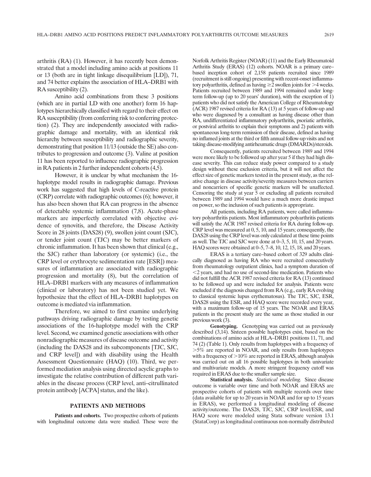arthritis (RA) (1). However, it has recently been demonstrated that a model including amino acids at positions 11 or 13 (both are in tight linkage disequilibrium [LD]), 71, and 74 better explains the association of HLA–DRB1 with RA susceptibility (2).

Amino acid combinations from these 3 positions (which are in partial LD with one another) form 16 haplotypes hierarchically classified with regard to their effect on RA susceptibility (from conferring risk to conferring protection) (2). They are independently associated with radiographic damage and mortality, with an identical risk hierarchy between susceptibility and radiographic severity, demonstrating that position 11/13 (outside the SE) also contributes to progression and outcome (3). Valine at position 11 has been reported to influence radiographic progression in RA patients in 2 further independent cohorts (4,5).

However, it is unclear by what mechanism the 16 haplotype model results in radiographic damage. Previous work has suggested that high levels of C-reactive protein (CRP) correlate with radiographic outcomes (6); however, it has also been shown that RA can progress in the absence of detectable systemic inflammation (7,8). Acute-phase markers are imperfectly correlated with objective evidence of synovitis, and therefore, the Disease Activity Score in 28 joints (DAS28) (9), swollen joint count (SJC), or tender joint count (TJC) may be better markers of chronic inflammation. It has been shown that clinical (e.g., the SJC) rather than laboratory (or systemic) (i.e., the CRP level or erythrocyte sedimentation rate [ESR]) measures of inflammation are associated with radiographic progression and mortality (8), but the correlation of HLA–DRB1 markers with any measures of inflammation (clinical or laboratory) has not been studied yet. We hypothesize that the effect of HLA–DRB1 haplotypes on outcome is mediated via inflammation.

Therefore, we aimed to first examine underlying pathways driving radiographic damage by testing genetic associations of the 16-haplotype model with the CRP level. Second, we examined genetic associations with other nonradiographic measures of disease outcome and activity (including the DAS28 and its subcomponents [TJC, SJC, and CRP level]) and with disability using the Health Assessment Questionnaire (HAQ) (10). Third, we performed mediation analysis using directed acyclic graphs to investigate the relative contribution of different path variables in the disease process (CRP level, anti–citrullinated protein antibody [ACPA] status, and the like).

### PATIENTS AND METHODS

Patients and cohorts. Two prospective cohorts of patients with longitudinal outcome data were studied. These were the

Norfolk Arthritis Register (NOAR) (11) and the Early Rheumatoid Arthritis Study (ERAS) (12) cohorts. NOAR is a primary care– based inception cohort of 2,158 patients recruited since 1989 (recruitment is still ongoing) presenting with recent-onset inflammatory polyarthritis, defined as having  $\geq$  2 swollen joints for  $>$  4 weeks. Patients recruited between 1989 and 1994 remained under longterm follow-up (up to 20 years' duration), with the exception of 1) patients who did not satisfy the American College of Rheumatology (ACR) 1987 revised criteria for RA (13) at 5 years of follow-up and who were diagnosed by a consultant as having disease other than RA, undifferentiated inflammatory polyarthritis, psoriatic arthritis, or postviral arthritis to explain their symptoms and 2) patients with spontaneous long-term remission of their disease, defined as having no inflamed joints at the third or fifth annual follow-up visits and not taking disease-modifying antirheumatic drugs (DMARDs)/steroids.

Consequently, patients recruited between 1989 and 1994 were more likely to be followed up after year 5 if they had high disease severity. This can reduce study power compared to a study design without these exclusion criteria, but it will not affect the effect size of genetic markers tested in the present study, as the relative change in disease activity/severity measures between carriers and noncarriers of specific genetic markers will be unaffected. Censoring the study at year 5 or excluding all patients recruited between 1989 and 1994 would have a much more drastic impact on power, so the inclusion of such patients is appropriate.

All patients, including RA patients, were called inflammatory polyarthritis patients. Most inflammatory polyarthritis patients will satisfy the ACR 1987 revised criteria for RA during follow-up. CRP level was measured at 0, 5, 10, and 15 years; consequently, the DAS28 using the CRP level was only calculated at these time points as well. The TJC and SJC were done at 0–3, 5, 10, 15, and 20 years. HAQ scores were obtained at 0–5, 7–8, 10, 12, 15, 18, and 20 years.

ERAS is a tertiary care–based cohort of 329 adults clinically diagnosed as having RA who were recruited consecutively from rheumatology outpatient clinics, had a symptom duration of ,2 years, and had no use of second-line medication. Patients who did not fulfill the ACR 1987 revised criteria for RA (13) continued to be followed up and were included for analysis. Patients were excluded if the diagnosis changed from RA (e.g., early RA evolving to classical systemic lupus erythematosus). The TJC, SJC, ESR, DAS28 using the ESR, and HAQ score were recorded every year, with a maximum follow-up of 15 years. The NOAR and ERAS patients in the present study are the same as those studied in our previous work (3).

Genotyping. Genotyping was carried out as previously described (3,14). Sixteen possible haplotypes exist, based on the combinations of amino acids at HLA–DRB1 positions 11, 71, and 74 (2) (Table 1). Only results from haplotypes with a frequency of .5% are reported in NOAR, and only results from haplotypes with a frequency of  $>10\%$  are reported in ERAS, although analysis was carried out on all 16 possible haplotypes in both univariate and multivariate models. A more stringent frequency cutoff was required in ERAS due to the smaller sample size.

Statistical analysis. Statistical modeling. Since disease outcome is variable over time and both NOAR and ERAS are prospective cohorts of patients with multiple records over time (data available for up to 20 years in NOAR and for up to 15 years in ERAS), we performed a longitudinal modeling of disease activity/outcome. The DAS28, TJC, SJC, CRP level/ESR, and HAQ score were modeled using Stata software version 13.1 (StataCorp) as longitudinal continuous non-normally distributed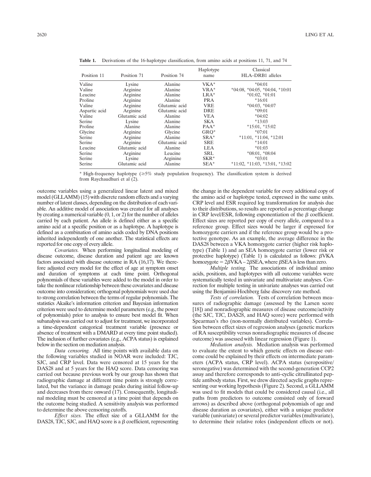| Position 11   | Position 71   | Position 74   | Haplotype<br>name | Classical<br>HLA-DRB1 alleles             |
|---------------|---------------|---------------|-------------------|-------------------------------------------|
| Valine        | Lysine        | Alanine       | $VKA^*$           | $*04:01$                                  |
| Valine        | Arginine      | Alanine       | $VRA^*$           | $*04:08$ , $*04:05$ , $*04:04$ , $*10:01$ |
| Leucine       | Arginine      | Alanine       | $LRA^*$           | $*01:02, *01:01$                          |
| Proline       | Arginine      | Alanine       | <b>PRA</b>        | $*16:01$                                  |
| Valine        | Arginine      | Glutamic acid | <b>VRE</b>        | $*04:03$ , $*04:07$                       |
| Aspartic acid | Arginine      | Glutamic acid | <b>DRE</b>        | $*09:01$                                  |
| Valine        | Glutamic acid | Alanine       | <b>VEA</b>        | $*04:02$                                  |
| Serine        | Lysine        | Alanine       | <b>SKA</b>        | $*13:03$                                  |
| Proline       | Alanine       | Alanine       | $PAA^*$           | $*15:01$ , $*15:02$                       |
| Glycine       | Arginine      | Glycine       | GRO*              | $*07:01$                                  |
| Serine        | Arginine      | Alanine       | $SRA*$            | $*11:01$ , $*11:04$ , $*12:01$            |
| Serine        | Arginine      | Glutamic acid | <b>SRE</b>        | $*14:01$                                  |
| Leucine       | Glutamic acid | Alanine       | <b>LEA</b>        | $*01:03$                                  |
| Serine        | Arginine      | Leucine       | <b>SRL</b>        | $*08:01$ , $*08:04$                       |
| Serine        | Lysine        | Arginine      | $SKR^*$           | $*03:01$                                  |
| Serine        | Glutamic acid | Alanine       | $SEA*$            | $*11:02$ , $*11:03$ , $*13:01$ , $*13:02$ |

Table 1. Derivations of the 16-haplotype classification, from amino acids at positions 11, 71, and 74

\* High-frequency haplotype ( $\geq$ 5% study population frequency). The classification system is derived from Raychaudhuri et al (2).

outcome variables using a generalized linear latent and mixed model (GLLAMM) (15) with discrete random effects and a varying number of latent classes, depending on the distribution of each variable. An additive model of association was created for all analyses by creating a numerical variable (0, 1, or 2) for the number of alleles carried by each patient. An allele is defined either as a specific amino acid at a specific position or as a haplotype. A haplotype is defined as a combination of amino acids coded by DNA positions inherited independently of one another. The statistical effects are reported for one copy of every allele.

Covariates. When performing longitudinal modeling of disease outcome, disease duration and patient age are known factors associated with disease outcome in RA (16,17). We therefore adjusted every model for the effect of age at symptom onset and duration of symptoms at each time point. Orthogonal polynomials of these variables were added to the model in order to take the nonlinear relationship between these covariates and disease outcome into consideration; orthogonal polynomials were used due to strong correlation between the terms of regular polynomials. The statistics Akaike's information criterion and Bayesian information criterion were used to determine model parameters (e.g., the power of polynomials) prior to analysis to ensure best model fit. When subanalysis was carried out to adjust for treatment, we incorporated a time-dependent categorical treatment variable (presence or absence of treatment with a DMARD at every time point studied). The inclusion of further covariates (e.g., ACPA status) is explained below in the section on mediation analysis.

Data censoring. All time points with available data on the following variables studied in NOAR were included: TJC, SJC, and CRP level. Data were censored at 15 years for the DAS28 and at 5 years for the HAQ score. Data censoring was carried out because previous work by our group has shown that radiographic damage at different time points is strongly correlated, but the variance in damage peaks during initial follow-up and decreases from there onward (17). Consequently, longitudinal modeling must be censored at a time point that depends on the outcome being studied. A sensitivity analysis was performed to determine the above censoring cutoffs.

Effect sizes. The effect size of a GLLAMM for the DAS28, TJC, SJC, and HAQ score is a  $\beta$  coefficient, representing the change in the dependent variable for every additional copy of the amino acid or haplotype tested, expressed in the same units. CRP level and ESR required log transformation for analysis due to their distributions, so results are reported as percentage change in CRP level/ESR, following exponentiation of the  $\beta$  coefficient. Effect sizes are reported per copy of every allele, compared to a reference group. Effect sizes would be larger if expressed for homozygote carriers and if the reference group would be a protective genotype. As an example, the average difference in the DAS28 between a VKA homozygote carrier (higher risk haplotype) (Table 1) and an SEA homozygote carrier (lower risk or protective haplotype) (Table 1) is calculated as follows:  $\beta$ VKA homozygote =  $2\beta VKA - 2\beta SEA$ , where  $\beta SEA$  is less than zero.

Multiple testing. The associations of individual amino acids, positions, and haplotypes with all outcome variables were systematically tested in univariate and multivariate analyses. Correction for multiple testing in univariate analyses was carried out using the Benjamini-Hochberg false discovery rate method.

Tests of correlation. Tests of correlation between measures of radiographic damage (assessed by the Larsen score [18]) and nonradiographic measures of disease outcome/activity (the SJC, TJC, DAS28, and HAQ score) were performed with Spearman's rho (non-normally distributed variables). Correlation between effect sizes of regression analyses (genetic markers of RA susceptibility versus nonradiographic measures of disease outcome) was assessed with linear regression (Figure 1).

Mediation analysis. Mediation analysis was performed to evaluate the extent to which genetic effects on disease outcome could be explained by their effects on intermediate parameters (ACPA status, CRP level). ACPA status (seropositive/ seronegative) was determined with the second-generation CCP2 assay and therefore corresponds to anti–cyclic citrullinated peptide antibody status. First, we drew directed acyclic graphs representing our working hypothesis (Figure 2). Second, a GLLAMM was used to fit models that could be considered causal (i.e., all paths from predictors to outcome consisted only of forward arrows) as described above (orthogonal polynomials of age and disease duration as covariates), either with a unique predictor variable (univariate) or several predictor variables (multivariate), to determine their relative roles (independent effects or not).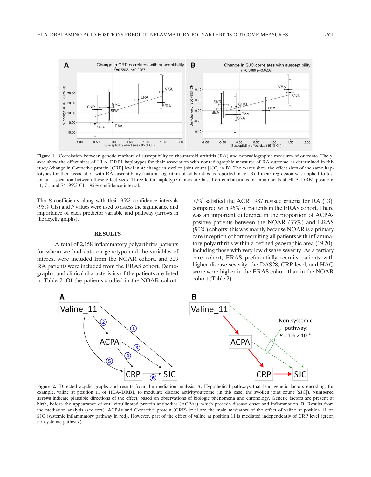

Figure 1. Correlation between genetic markers of susceptibility to rheumatoid arthritis (RA) and nonradiographic measures of outcome. The yaxes show the effect sizes of HLA–DRB1 haplotypes for their association with nonradiographic measures of RA outcome as determined in this study (change in C-reactive protein [CRP] level in A; change in swollen joint count [SJC] in B). The x-axes show the effect sizes of the same haplotypes for their association with RA susceptibility (natural logarithm of odds ratios as reported in ref. 3). Linear regression was applied to test for an association between these effect sizes. Three-letter haplotype names are based on combinations of amino acids at HLA–DRB1 positions 11, 71, and 74. 95% CI =  $95%$  confidence interval.

The  $\beta$  coefficients along with their 95% confidence intervals (95% CIs) and  $P$  values were used to assess the significance and importance of each predictor variable and pathway (arrows in the acyclic graphs).

### **RESULTS**

A total of 2,158 inflammatory polyarthritis patients for whom we had data on genotype and the variables of interest were included from the NOAR cohort, and 329 RA patients were included from the ERAS cohort. Demographic and clinical characteristics of the patients are listed in Table 2. Of the patients studied in the NOAR cohort,

77% satisfied the ACR 1987 revised criteria for RA (13), compared with 96% of patients in the ERAS cohort. There was an important difference in the proportion of ACPApositive patients between the NOAR (33%) and ERAS (90%) cohorts; this was mainly because NOAR is a primary care inception cohort recruiting all patients with inflammatory polyarthritis within a defined geographic area (19,20), including those with very low disease severity. As a tertiary care cohort, ERAS preferentially recruits patients with higher disease severity; the DAS28, CRP level, and HAQ score were higher in the ERAS cohort than in the NOAR cohort (Table 2).



Figure 2. Directed acyclic graphs and results from the mediation analysis. A, Hypothetical pathways that lead genetic factors encoding, for example, valine at position 11 of HLA–DRB1, to modulate disease activity/outcome (in this case, the swollen joint count [SJC]). Numbered arrows indicate plausible directions of the effect, based on observations of biologic phenomena and chronology. Genetic factors are present at birth, before the appearance of anti–citrullinated protein antibodies (ACPAs), which precede disease onset and inflammation. B, Results from the mediation analysis (see text). ACPAs and C-reactive protein (CRP) level are the main mediators of the effect of valine at position 11 on SJC (systemic inflammatory pathway in red). However, part of the effect of valine at position 11 is mediated independently of CRP level (green nonsystemic pathway).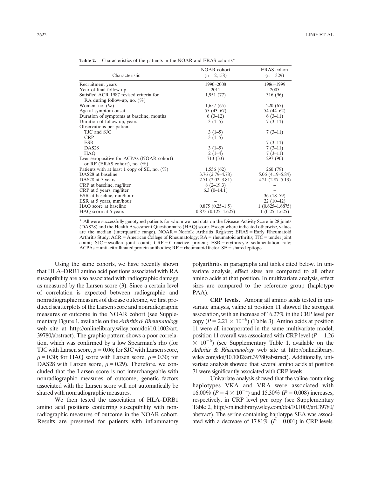| Characteristic                                  | NOAR cohort          | <b>ERAS</b> cohort |
|-------------------------------------------------|----------------------|--------------------|
|                                                 | $(n = 2,158)$        | $(n = 329)$        |
| Recruitment years                               | 1990-2008            | 1986-1999          |
| Year of final follow-up                         | 2011                 | 2005               |
| Satisfied ACR 1987 revised criteria for         | 1,951(77)            | 316 (96)           |
| RA during follow-up, no. $(\%)$                 |                      |                    |
| Women, no. $(\%)$                               | 1,657(65)            | 220 (67)           |
| Age at symptom onset                            | $55(43-67)$          | 54 (44–62)         |
| Duration of symptoms at baseline, months        | $6(3-12)$            | $6(3-11)$          |
| Duration of follow-up, years                    | $3(1-5)$             | $7(3-11)$          |
| Observations per patient                        |                      |                    |
| TJC and SJC                                     | $3(1-5)$             | $7(3-11)$          |
| <b>CRP</b>                                      | $3(1-5)$             |                    |
| <b>ESR</b>                                      |                      | $7(3-11)$          |
| DAS <sub>28</sub>                               | $3(1-5)$             | $7(3-11)$          |
| <b>HAO</b>                                      | $2(1-4)$             | $7(3-11)$          |
| Ever seropositive for ACPAs (NOAR cohort)       | 713 (33)             | 297 (90)           |
| or RF (ERAS cohort), no. $(\%)$                 |                      |                    |
| Patients with at least 1 copy of SE, no. $(\%)$ | 1,556(62)            | 260 (79)           |
| DAS28 at baseline                               | $3.76(2.79-4.78)$    | $5.06(4.19-5.84)$  |
| DAS28 at 5 years                                | $2.71(2.02 - 3.81)$  | $4.21(2.87-5.13)$  |
| CRP at baseline, mg/liter                       | $8(2-19.3)$          |                    |
| CRP at 5 years, mg/liter                        | $6.3(0-14.1)$        |                    |
| ESR at baseline, mm/hour                        |                      | $36(18-59)$        |
| ESR at 5 years, mm/hour                         |                      | $22(10-42)$        |
| HAO score at baseline                           | $0.875(0.25-1.5)$    | $1(0.625-1.6875)$  |
| HAQ score at 5 years                            | $0.875(0.125-1.625)$ | $1(0.25-1.625)$    |

Table 2. Characteristics of the patients in the NOAR and ERAS cohorts<sup>\*</sup>

\* All were successfully genotyped patients for whom we had data on the Disease Activity Score in 28 joints (DAS28) and the Health Assessment Questionnaire (HAQ) score. Except where indicated otherwise, values are the median (interquartile range).  $NOAR = Norfolk$  Arthritis Register;  $ERAS = Early$  Rheumatoid Arthritis Study;  $ACR =$  American College of Rheumatology;  $RA =$  rheumatoid arthritis;  $TJC =$  tender joint count;  $SJC =$  swollen joint count;  $CRP = C$ -reactive protein;  $ESR =$  erythrocyte sedimentation rate;  $ACPAs = anti–citrullinated protein antibodies; RF = rheumatoid factor; SE = shared epitope.$ 

Using the same cohorts, we have recently shown that HLA–DRB1 amino acid positions associated with RA susceptibility are also associated with radiographic damage as measured by the Larsen score (3). Since a certain level of correlation is expected between radiographic and nonradiographic measures of disease outcome, we first produced scatterplots of the Larsen score and nonradiographic measures of outcome in the NOAR cohort (see Supplementary Figure 1, available on the Arthritis & Rheumatology web site at [http://onlinelibrary.wiley.com/doi/10.1002/art.](http://onlinelibrary.wiley.com/doi/10.1002/art.39780/abstract) [39780/abstract\)](http://onlinelibrary.wiley.com/doi/10.1002/art.39780/abstract). The graphic pattern shows a poor correlation, which was confirmed by a low Spearman's rho (for TJC with Larsen score,  $\rho = 0.06$ ; for SJC with Larsen score,  $\rho = 0.30$ ; for HAQ score with Larsen score,  $\rho = 0.30$ ; for DAS28 with Larsen score,  $\rho = 0.29$ ). Therefore, we concluded that the Larsen score is not interchangeable with nonradiographic measures of outcome; genetic factors associated with the Larsen score will not automatically be shared with nonradiographic measures.

We then tested the association of HLA–DRB1 amino acid positions conferring susceptibility with nonradiographic measures of outcome in the NOAR cohort. Results are presented for patients with inflammatory

polyarthritis in paragraphs and tables cited below. In univariate analysis, effect sizes are compared to all other amino acids at that position. In multivariate analysis, effect sizes are compared to the reference group (haplotype PAA).

CRP levels. Among all amino acids tested in univariate analysis, valine at position 11 showed the strongest association, with an increase of 16.27% in the CRP level per copy ( $P = 2.21 \times 10^{-6}$ ) (Table 3). Amino acids at position 11 were all incorporated in the same multivariate model; position 11 overall was associated with CRP level ( $P = 1.26$ )  $\times$  10<sup>-6</sup>) (see Supplementary Table 1, available on the Arthritis & Rheumatology web site at [http://onlinelibrary.](http://onlinelibrary.wiley.com/doi/10.1002/art.39780/abstract) [wiley.com/doi/10.1002/art.39780/abstract\)](http://onlinelibrary.wiley.com/doi/10.1002/art.39780/abstract). Additionally, univariate analysis showed that several amino acids at position 71 were significantly associated with CRP levels.

Univariate analysis showed that the valine-containing haplotypes VKA and VRA were associated with  $16.00\%$   $(P = 4 \times 10^{-4})$  and 15.30%  $(P = 0.008)$  increases, respectively, in CRP level per copy (see Supplementary Table 2, [http://onlinelibrary.wiley.com/doi/10.1002/art.39780/](http://onlinelibrary.wiley.com/doi/10.1002/art.39780/abstract) [abstract](http://onlinelibrary.wiley.com/doi/10.1002/art.39780/abstract)). The serine-containing haplotype SEA was associated with a decrease of 17.81% ( $P = 0.001$ ) in CRP levels.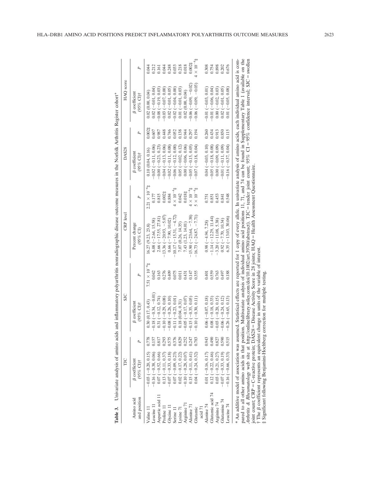|                            | ГIС                                             |       | <b>SIC</b>                          |                         | <b>CRP</b> level                                                                                                                                                                                                                                                                                                                                                                                                                                                                                        |                             | DAS <sub>28</sub>                   |        | HAQ score                         |                    |
|----------------------------|-------------------------------------------------|-------|-------------------------------------|-------------------------|---------------------------------------------------------------------------------------------------------------------------------------------------------------------------------------------------------------------------------------------------------------------------------------------------------------------------------------------------------------------------------------------------------------------------------------------------------------------------------------------------------|-----------------------------|-------------------------------------|--------|-----------------------------------|--------------------|
| and position<br>Amino acid | <b>B</b> coefficient<br>(95% CI)†               | L     | <b>B</b> coefficient<br>$(95%$ CI)† | P                       | Percent change<br>(95% CI)                                                                                                                                                                                                                                                                                                                                                                                                                                                                              | P                           | <b>B</b> coefficient<br>$(95%$ CI)† | P      | <b>B</b> coefficient<br>(95% CI)† | P                  |
| Valine 11                  | $-0.03$ $(-0.20, 0.15)$                         |       | 0.30(0.17, 0.43)                    | $7.51 \times 10^{-6}$ # | 16.27 (9.23, 23.8)                                                                                                                                                                                                                                                                                                                                                                                                                                                                                      | $2.21 \times 10^{-6}$ ‡     | 0.10(0.04, 0.16)                    | 0.0024 | 0.02(0.00, 0.04)                  | 0.044              |
| Leucine 11                 | $-0.16(-0.38, 0.06)$                            |       | $-0.18 (-0.34, -0.01)$              | 0.042                   | $6.08 (-2.64, 15.58)$                                                                                                                                                                                                                                                                                                                                                                                                                                                                                   | 0.177                       | $-0.02(-0.11, 0.06)$                | 1.607  | $0.02(-0.01, 0.04)$               | 0.212              |
| Aspartic acid 11           |                                                 | 0.817 | $0.31 (-0.12, 0.74)$                | 0.163                   | $2.66(-17.55, 27.81)$                                                                                                                                                                                                                                                                                                                                                                                                                                                                                   | 0.815                       | $-0.00(-0.23, 0.23)$                | 1.987  | $-0.08(-0.19, 0.03)$              | 0.161              |
| Proline 11                 | $0.07 (-0.52, 0.66)$<br>0.13 $(-0.11, 0.37)$    |       | $-0.10(-0.29, 0.08)$                | 0.276                   | $-13.36(-20.93, -5.07)$                                                                                                                                                                                                                                                                                                                                                                                                                                                                                 | $0.002$ ‡                   | $-0.04 (-0.13, 0.06)$               | 1.448  | $(0.03(-0.07, 0.00))$             | 0.044              |
| Glycine 11                 | $-0.07(-0.33, 0.18)$                            |       | $-0.08(-0.26, 0.10)$                | 0.409                   | $0.66$ $(-7.90, 10.02)$                                                                                                                                                                                                                                                                                                                                                                                                                                                                                 | 0.884                       | $-0.02(-0.11, 0.08)$                | 047.   | $0.02(-0.01, 0.05)$               | 0.248              |
| Serine 11                  | $0.07(-0.09, 0.23)$                             |       | $-0.11(-0.23, 0.01)$                | 0.075                   | $-10.17(-15.31, -4.72)$                                                                                                                                                                                                                                                                                                                                                                                                                                                                                 | $4\times10^{-4}$ $\ddagger$ | $-0.06(-0.12, 0.00)$                | 0.052  | $-0.02(-0.04, 0.00)$              | 0.033              |
| Lysine 71                  | $0.02(-0.17, 0.22)$                             | 0.829 | 0.18(0.04, 0.31)                    | 0.011                   | 7.07 (0.26, 14.35)                                                                                                                                                                                                                                                                                                                                                                                                                                                                                      | 0.042                       | $0.05 (-0.02, 0.12)$                | 1.138  | $0.01 (-0.01, 0.03)$              | 0.218              |
| Arginine 71                | $-0.10(-0.28, 0.07)$                            | 0.252 | $-0.05$ ( $-0.17, 0.07$ )           | 0.431                   | 7.43 (1.23, 14.01)                                                                                                                                                                                                                                                                                                                                                                                                                                                                                      | $0.018$ #                   | $0.00(-0.06, 0.06)$                 | 0.944  | 0.02(0.00.01)                     | 0.018              |
| Alanine 71                 | $0.15(-0.11, 0.41)$                             | 0.247 | $5(-0.35, 0.05)$                    | 0.147                   | $-15.90(-23.64, -7.38)$                                                                                                                                                                                                                                                                                                                                                                                                                                                                                 | $\times$ 10 $^{-4}$         | $-0.05$ ( $-0.15, 0.05$ )           | 1.297  | $-0.06(-0.09,-0.02)$              | $0.002\ddagger$    |
| Glutamic                   | $0.04 (-0.24, 0.32)$                            | 0.783 | $0(-0.30, 0.11)$                    | 0.355                   | $-16.73$ ( $-24.87$ , $-7.71$ )                                                                                                                                                                                                                                                                                                                                                                                                                                                                         | $\times 10^{-4}$            | $-0.07(-0.18, 0.04)$                | 1.194  | $-0.06(-0.09,-0.03)$              | $4 \times 10^{-4}$ |
| acid 7                     |                                                 |       |                                     |                         |                                                                                                                                                                                                                                                                                                                                                                                                                                                                                                         |                             |                                     |        |                                   |                    |
| Alanine 74                 | $0.01 (-0.16, 0.17)$                            | 0.943 | $0.06(-0.07, 0.18)$                 | 0.401                   | $0.98 (-4.94, 7.28)$                                                                                                                                                                                                                                                                                                                                                                                                                                                                                    | .751                        | $0.04 (-0.03, 0.10)$                | 0.260  | $-0.01(-0.03, 0.01)$              | 0.308              |
| Glutamic acid 74           | $0.12(-0.22, 0.46)$                             | 0.490 | $0.08(-0.18, 0.33)$                 | 0.559                   | $-1.14(-12.29, 11.44)$                                                                                                                                                                                                                                                                                                                                                                                                                                                                                  | 0.851                       | $-0.05$ ( $-0.18, 0.08$ )           | 1434   | $-0.01(-0.06, 0.04)$              | 0.754              |
| Arginine 74                | $0.03(-0.21, 0.27)$                             | 0.827 | $-0.03(-0.20, 0.15)$                | 0.763                   | $-3.20(-11.08, 5.38)$                                                                                                                                                                                                                                                                                                                                                                                                                                                                                   | 0.453                       | $0.00 (-0.09, 0.09)$                | 1.913  | $0.00 (-0.02, 0.03)$              | 0.898              |
| Glutamine 74               | $-0.07(-0.33, 0.19)$                            | 0.590 | $-0.06(-0.24, 0.12)$                | 0.497                   | $0.92 (-7.70, 10.34)$                                                                                                                                                                                                                                                                                                                                                                                                                                                                                   | 0.841                       | $-0.01(-0.11, 0.09)$                | 0.850  | $0.02(-0.01, 0.05)$               | 0.202              |
| Leucine 74                 | $-0.16(-0.66, 0.33)$                            | 0.515 | $-0.26(-0.65, 0.13)$                | 0.188                   | $6.35(-13.03, 30.06)$                                                                                                                                                                                                                                                                                                                                                                                                                                                                                   | 0.548                       | $-0.16(-0.37, 0.04)$                | 0.115  | $0.01 (-0.05, 0.08)$              | 0.676              |
|                            | * An additive model of association was assumed. |       |                                     |                         | pared to all other amino acids in that position. Multivariate analysis of individual amino acid positions 11, 71, and 74 can be found in Supplementary Table 1 (available on the<br>Arthritis & Rheumatology web site at http://onlinelibrary.wiley.com/doi/10.1002/art.39780/abstract). TJC=tender joint count; 95% CI =95% confidence interval; SJC=swollen<br>Statistical effects are reported for 1 copy of every allele. In univariate analysis of amino acids, each individual amino acid is com- |                             |                                     |        |                                   |                    |
|                            |                                                 |       |                                     |                         | joint count; CRP = C-reactive protein; DAS28 = Disease Activity Score in 28 joints; HAQ = Health Assessment Ouestionnaire.                                                                                                                                                                                                                                                                                                                                                                              |                             |                                     |        |                                   |                    |

Table 3. Univariate analysis of amino acids and inflammatory polyarthritis nonradiographic disease outcome measures in the Norfolk Arthritis Register cohort\*

Table 3. Univariate analysis of amino acids and inflammatory polyarthritis nonradiographic disease outcome measures in the Norfolk Arthritis Register cohort\*

joint count; CRP C-reactive protein; DAS28 Disease Activity Score in 28 joints; HAQ † The bcoefficient represents an equivalent change in units of the variable of interest.

‡ Significant following Benjamini-Hochberg correction for multiple testing.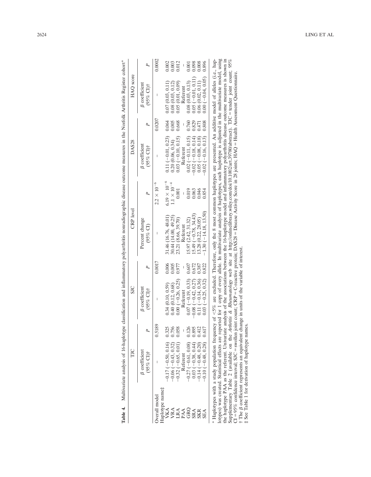|                                | ПC                                              |        | $S_{\rm LC}$                                    |        | <b>CRP</b> level                                                                                                                                                                                                                                                                                                                                                                                                                                                                                                                                                                                                                                                                      |                       | DAS <sub>28</sub>                   |        | HAQ score                         |        |
|--------------------------------|-------------------------------------------------|--------|-------------------------------------------------|--------|---------------------------------------------------------------------------------------------------------------------------------------------------------------------------------------------------------------------------------------------------------------------------------------------------------------------------------------------------------------------------------------------------------------------------------------------------------------------------------------------------------------------------------------------------------------------------------------------------------------------------------------------------------------------------------------|-----------------------|-------------------------------------|--------|-----------------------------------|--------|
|                                | <b>B</b> coefficient<br>$(95%$ CI) <sup>†</sup> |        | <b>B</b> coefficient<br>$(95%$ CI) <sup>†</sup> |        | Percent change<br>$(95%$ CI)                                                                                                                                                                                                                                                                                                                                                                                                                                                                                                                                                                                                                                                          |                       | <b>B</b> coefficient<br>$(95%$ CI)† |        | <b>B</b> coefficient<br>(95% CI)† | P,     |
| -aplotype name<br>verall model |                                                 | 0.5189 |                                                 | 0.0017 |                                                                                                                                                                                                                                                                                                                                                                                                                                                                                                                                                                                                                                                                                       | $2.2 \times 10^{-6}$  |                                     | 0.0207 |                                   | 0.0002 |
| VKA                            | $-0.17(-0.50, 0.16)$                            | 0.325  | 0.34(0.10, 0.59)                                | 0.006  | 31.46 (16.76, 48.01)                                                                                                                                                                                                                                                                                                                                                                                                                                                                                                                                                                                                                                                                  | $6.19 \times 10^{-6}$ | $0.11 (-0.01, 0.23)$                | 0.064  | 0.07(0.03, 0.11)                  | 0.002  |
|                                | $-0.06$ ( $-0.43, 0.32$ )                       | 0.756  | 0.40(0.12, 0.68)                                | 000.1  | 30.44 (14.00, 49.25)                                                                                                                                                                                                                                                                                                                                                                                                                                                                                                                                                                                                                                                                  | $1.1\times10^{-4}$    | 0.20(0.06, 0.34)                    | 1.005  | (0.03, 0.12)<br>0.08(             | 0.003  |
| VRA<br>LRA<br>PAA              | $-0.32(-0.65, 0.01)$                            | 0.058  | $0.00(-0.26, 0.25)$                             | 1.977  | 23.21 (8.66, 39.70)                                                                                                                                                                                                                                                                                                                                                                                                                                                                                                                                                                                                                                                                   | 0.001                 | $0.03$ ( $-0.10, 0.15$ )            | 0.668  | (0.01, 0.09)<br>0.05(             | 0.012  |
|                                | Referent                                        |        | Referent                                        |        | Referent                                                                                                                                                                                                                                                                                                                                                                                                                                                                                                                                                                                                                                                                              | I                     | Referent                            | I      | Referent                          | I      |
| GRQ                            | $-0.27(-0.61, 0.08)$                            | 0.126  | $0.07 (-0.19, 0.33)$                            | 1.607  | [5.97(2.42, 31.32)]                                                                                                                                                                                                                                                                                                                                                                                                                                                                                                                                                                                                                                                                   | 0.019                 | $0.02 (-0.11, 0.15)$                | 0.760  | 0.08(0.03, 0.13)                  | 0.001  |
| <b>SRA</b>                     | $0.03(-0.38, 0.44)$                             | 0.895  | $-0.08(-0.42, 0.27)$                            | 1.672  | $15.49(-0.78, 34.43)$                                                                                                                                                                                                                                                                                                                                                                                                                                                                                                                                                                                                                                                                 | 0.063                 | $-0.02$ ( $-0.18$ , 0.14)           | 0.829  | $0.05 (-0.01, 0.11)$              | 0.08   |
| <b>SKR</b>                     | $-0.14 (-0.48, 0.20)$                           | 0.412  | $0.11(-0.14, 0.36)$                             | 1.387  | 13.28 (0.22, 28.05)                                                                                                                                                                                                                                                                                                                                                                                                                                                                                                                                                                                                                                                                   | 0.046                 | $0.05$ (-0.08, 0.18)                | 1.471  | 0.06(0.02, 0.11)                  | 1.008  |
| SEA                            | $(0.10 (-0.48, 0.28))$                          | 0.617  | $0.03(-0.25, 0.32)$                             | 0.822  | $-1.30(-14.18, 13.50)$                                                                                                                                                                                                                                                                                                                                                                                                                                                                                                                                                                                                                                                                | 0.854                 | $-0.02$ ( $-0.16$ , 0.13)           | 0.808  | $0.00(-0.04, 0.05)$               | 0.896  |
|                                | Haplotypes with a study population frequency    |        |                                                 |        | otypes) was created. Statistical effects are reported for 1 copy of every allele. In multivariate analysis of haplotypes, each haplotype is adjusted in the multivariate model, using<br>of $\leq 5\%$ are excluded. Therefore, only the 8 most common haplotypes are presented. An additive model of alleles (i.e., hap-<br>he haplotype PAA as the referent. Univariate analysis of the associations between the 16-haplotype model and inflammatory polyarthritis disease outcome measures is shown in<br>Supplementary Table 2 (available on the Arthritis & Rheumatology web site at http://onlinelibrary.wiley.com/doi/10.1002/art.39780/abstract). TJC=tender joint count; 95% |                       |                                     |        |                                   |        |

Table 4. Multivariate analysis of 16-haplotype classification and inflammatory polyarthritis nonradiographic disease outcome measures in the Norfolk Arthritis Register cohort\* Table 4. Multivariate analysis of 16-haplotype classification and inflammatory polyarthritis nonradiographic disease outcome measures in the Norfolk Arthritis Register cohort\*

\* Haplotypes with a study population frequency of  $\langle 5\% \rangle$  are excluded. Therefore, only the 8 most common haplotypes are presented. An additive model of alleles (i.e.,<br>the plotypes) was created statistical effects are CI = 95% confidence interval; SJC = swollen joint count; CRP = C-reactive protein; DAS28 = Disease Activity Score in 28 joints; HAQ = Health Assessment Questionnaire. † The b coefficient represents an equivalent change in units of the variable of interest.

‡ See Table 1 for derivation of haplotype names.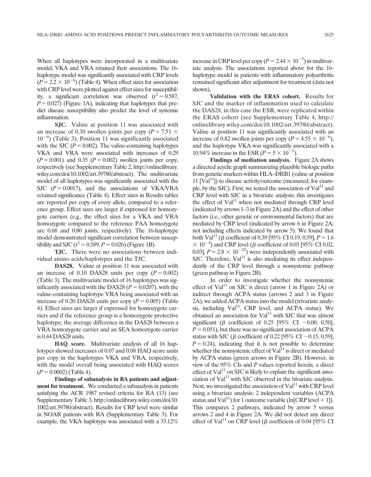When all haplotypes were incorporated in a multivariate model, VKA and VRA retained their associations. The 16 haplotype model was significantly associated with CRP levels  $(P = 2.2 \times 10^{-6})$  (Table 4). When effect sizes for association with CRP level were plotted against effect sizes for susceptibility, a significant correlation was observed  $(r^2 = 0.587,$  $P = 0.027$ ) (Figure 1A), indicating that haplotypes that predict disease susceptibility also predict the level of systemic inflammation.

SJC. Valine at position 11 was associated with an increase of 0.30 swollen joints per copy ( $P = 7.51 \times$  $10^{-6}$ ) (Table 3). Position 11 was significantly associated with the SJC ( $P = 0.002$ ). The valine-containing haplotypes VKA and VRA were associated with increases of 0.29  $(P = 0.001)$  and 0.35 ( $P = 0.002$ ) swollen joints per copy, respectively (see Supplementary Table 2, [http://onlinelibrary.](http://onlinelibrary.wiley.com/doi/10.1002/art.39780/abstract) [wiley.com/doi/10.1002/art.39780/abstract\)](http://onlinelibrary.wiley.com/doi/10.1002/art.39780/abstract). The multivariate model of all haplotypes was significantly associated with the SJC  $(P= 0.0017)$ , and the associations of VKA/VRA retained significance (Table 4). Effect sizes in Results tables are reported per copy of every allele, compared to a reference group. Effect sizes are larger if expressed for homozygote carriers (e.g., the effect sizes for a VKA and VRA homozygote compared to the reference PAA homozygote are 0.68 and 0.80 joints, respectively). The 16-haplotype model demonstrated significant correlation between susceptibility and SJC ( $r^2 = 0.589, P = 0.026$ ) (Figure 1B).

TJC. There were no associations between individual amino acids/haplotypes and the TJC.

DAS28. Valine at position 11 was associated with an increase of 0.10 DAS28 units per copy  $(P = 0.002)$ (Table 3). The multivariate model of 16 haplotypes was significantly associated with the DAS28 ( $P = 0.0207$ ), with the valine-containing haplotype VRA being associated with an increase of 0.20 DAS28 units per copy ( $P = 0.005$ ) (Table 4). Effect sizes are larger if expressed for homozygote carriers and if the reference group is a homozygote protective haplotype; the average difference in the DAS28 between a VRA homozygote carrier and an SEA homozygote carrier is 0.44 DAS28 units.

HAQ score. Multivariate analysis of all 16 haplotypes showed increases of 0.07 and 0.08 HAQ score units per copy in the haplotypes VKA and VRA, respectively, with the model overall being associated with HAQ scores  $(P = 0.0002)$  (Table 4).

Findings of subanalysis in RA patients and adjustment for treatment. We conducted a subanalysis in patients satisfying the ACR 1987 revised criteria for RA (13) (see Supplementary Table 3, [http://onlinelibrary.wiley.com/doi/10.](http://onlinelibrary.wiley.com/doi/10.1002/art.39780/abstract) [1002/art.39780/abstract\)](http://onlinelibrary.wiley.com/doi/10.1002/art.39780/abstract). Results for CRP level were similar in NOAR patients with RA (Supplementary Table 3). For example, the VKA haplotype was associated with a 33.12%

increase in CRP level per copy ( $P = 2.44 \times 10^{-5}$ ) in multivariate analysis. The associations reported above for the 16 haplotype model in patients with inflammatory polyarthritis remained significant after adjustment for treatment (data not shown).

Validation with the ERAS cohort. Results for SJC and the marker of inflammation used to calculate the DAS28, in this case the ESR, were replicated within the ERAS cohort (see Supplementary Table 4, [http://](http://onlinelibrary.wiley.com/doi/10.1002/art.39780/abstract) [onlinelibrary.wiley.com/doi/10.1002/art.39780/abstract\)](http://onlinelibrary.wiley.com/doi/10.1002/art.39780/abstract). Valine at position 11 was significantly associated with an increase of 0.82 swollen joints per copy ( $P = 4.55 \times 10^{-6}$ ), and the haplotype VKA was significantly associated with a 10.94% increase in the ESR ( $P = 5 \times 10^{-5}$ ).

Findings of mediation analysis. Figure 2A shows a directed acyclic graph summarizing plausible biologic paths from genetic markers within HLA–DRB1 (valine at position 11  $[Val<sup>11</sup>]$ ) to disease activity/outcome (measured, for example, by the SJC). First, we tested the association of  $Val<sup>11</sup>$  and CRP level with SJC in a bivariate analysis; this investigates the effect of  $Val<sup>11</sup>$  when not mediated through CRP level (indicated by arrows 1–3 in Figure 2A) and the effect of other factors (i.e., other genetic or environmental factors) that are mediated by CRP level (indicated by arrow 6 in Figure 2A; not including effects indicated by arrow 5). We found that both Val<sup>11</sup> ( $\beta$  coefficient of 0.39 [95% CI 0.19, 0.59],  $P = 1.6$  $\times$  10<sup>-4</sup>) and CRP level ( $\beta$  coefficient of 0.03 [95% CI 0.02, 0.03],  $P = 2.8 \times 10^{-22}$ ) were independently associated with  $SJC$ . Therefore,  $Val<sup>11</sup>$  is also mediating its effect independently of the CRP level through a nonsystemic pathway (green pathway in Figure 2B).

In order to investigate whether the nonsystemic effect of  $Val<sup>11</sup>$  on SJC is direct (arrow 1 in Figure 2A) or indirect through ACPA status (arrows 2 and 3 in Figure 2A), we added ACPA status into the model (trivariate analysis, including  $Val<sup>11</sup>$ , CRP level, and ACPA status). We obtained an association for  $Val<sup>11</sup>$  with SJC that was almost significant ( $\beta$  coefficient of 0.25 [95% CI -0.00, 0.50],  $P = 0.051$ ), but there was no significant association of ACPA status with SJC ( $\beta$  coefficient of 0.22 [95% CI -0.15, 0.59],  $P = 0.24$ ), indicating that it is not possible to determine whether the nonsystemic effect of  $Val<sup>11</sup>$  is direct or mediated by ACPA status (green arrows in Figure 2B). However, in view of the 95% CIs and P values reported herein, a direct effect of  $Val<sup>11</sup>$  on SJC is likely to explain the significant association of  $Val<sup>11</sup>$  with SJC observed in the bivariate analysis. Next, we investigated the association of  $Val<sup>11</sup>$  with CRP level using a bivariate analysis: 2 independent variables (ACPA status and Val<sup>11</sup>) for 1 outcome variable (ln[CRP level + 1]). This compares 2 pathways, indicated by arrow 5 versus arrows 2 and 4 in Figure 2A. We did not detect any direct effect of Val<sup>11</sup> on CRP level ( $\beta$  coefficient of 0.04 [95% CI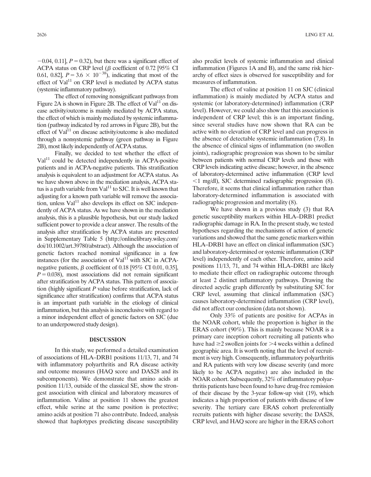$-0.04$ , 0.11],  $P = 0.32$ ), but there was a significant effect of ACPA status on CRP level ( $\beta$  coefficient of 0.72 [95% CI 0.61, 0.82],  $P = 3.6 \times 10^{-38}$ , indicating that most of the effect of  $Val<sup>11</sup>$  on CRP level is mediated by ACPA status (systemic inflammatory pathway).

The effect of removing nonsignificant pathways from Figure 2A is shown in Figure 2B. The effect of  $Val<sup>11</sup>$  on disease activity/outcome is mainly mediated by ACPA status, the effect of which is mainly mediated by systemic inflammation (pathway indicated by red arrows in Figure 2B), but the effect of  $Val<sup>11</sup>$  on disease activity/outcome is also mediated through a nonsystemic pathway (green pathway in Figure 2B), most likely independently of ACPA status.

Finally, we decided to test whether the effect of  $Val<sup>11</sup>$  could be detected independently in ACPA-positive patients and in ACPA-negative patients. This stratification analysis is equivalent to an adjustment for ACPA status. As we have shown above in the mediation analysis, ACPA status is a path variable from  $Val<sup>11</sup>$  to SJC. It is well known that adjusting for a known path variable will remove the association, unless  $Val<sup>11</sup>$  also develops its effect on SJC independently of ACPA status. As we have shown in the mediation analysis, this is a plausible hypothesis, but our study lacked sufficient power to provide a clear answer. The results of the analysis after stratification by ACPA status are presented in Supplementary Table 5 [\(http://onlinelibrary.wiley.com/](http://onlinelibrary.wiley.com/doi/10.1002/art.39780/abstract) [doi/10.1002/art.39780/abstract\)](http://onlinelibrary.wiley.com/doi/10.1002/art.39780/abstract). Although the association of genetic factors reached nominal significance in a few instances (for the association of  $Val<sup>11</sup>$  with SJC in ACPAnegative patients,  $\beta$  coefficient of 0.18 [95% CI 0.01, 0.35],  $P = 0.038$ ), most associations did not remain significant after stratification by ACPA status. This pattern of association (highly significant  $P$  value before stratification, lack of significance after stratification) confirms that ACPA status is an important path variable in the etiology of clinical inflammation, but this analysis is inconclusive with regard to a minor independent effect of genetic factors on SJC (due to an underpowered study design).

### DISCUSSION

In this study, we performed a detailed examination of associations of HLA–DRB1 positions 11/13, 71, and 74 with inflammatory polyarthritis and RA disease activity and outcome measures (HAQ score and DAS28 and its subcomponents). We demonstrate that amino acids at position 11/13, outside of the classical SE, show the strongest association with clinical and laboratory measures of inflammation. Valine at position 11 shows the greatest effect, while serine at the same position is protective; amino acids at position 71 also contribute. Indeed, analysis showed that haplotypes predicting disease susceptibility

also predict levels of systemic inflammation and clinical inflammation (Figures 1A and B), and the same risk hierarchy of effect sizes is observed for susceptibility and for measures of inflammation.

The effect of valine at position 11 on SJC (clinical inflammation) is mainly mediated by ACPA status and systemic (or laboratory-determined) inflammation (CRP level). However, we could also show that this association is independent of CRP level; this is an important finding, since several studies have now shown that RA can be active with no elevation of CRP level and can progress in the absence of detectable systemic inflammation (7,8). In the absence of clinical signs of inflammation (no swollen joints), radiographic progression was shown to be similar between patients with normal CRP levels and those with CRP levels indicating active disease; however, in the absence of laboratory-determined active inflammation (CRP level  $\leq$ 1 mg/dl), SJC determined radiographic progression (8). Therefore, it seems that clinical inflammation rather than laboratory-determined inflammation is associated with radiographic progression and mortality (8).

We have shown in a previous study (3) that RA genetic susceptibility markers within HLA–DRB1 predict radiographic damage in RA. In the present study, we tested hypotheses regarding the mechanisms of action of genetic variations and showed that the same genetic markers within HLA–DRB1 have an effect on clinical inflammation (SJC) and laboratory-determined or systemic inflammation (CRP) level) independently of each other. Therefore, amino acid positions 11/13, 71, and 74 within HLA–DRB1 are likely to mediate their effect on radiographic outcome through at least 2 distinct inflammatory pathways. Drawing the directed acyclic graph differently by substituting SJC for CRP level, assuming that clinical inflammation (SJC) causes laboratory-determined inflammation (CRP level), did not affect our conclusion (data not shown).

Only 33% of patients are positive for ACPAs in the NOAR cohort, while the proportion is higher in the ERAS cohort (90%). This is mainly because NOAR is a primary care inception cohort recruiting all patients who have had  $\geq$  2 swollen joints for  $>$ 4 weeks within a defined geographic area. It is worth noting that the level of recruitment is very high. Consequently, inflammatory polyarthritis and RA patients with very low disease severity (and more likely to be ACPA negative) are also included in the NOAR cohort. Subsequently, 32% of inflammatory polyarthritis patients have been found to have drug-free remission of their disease by the 3-year follow-up visit (19), which indicates a high proportion of patients with disease of low severity. The tertiary care ERAS cohort preferentially recruits patients with higher disease severity; the DAS28, CRP level, and HAQ score are higher in the ERAS cohort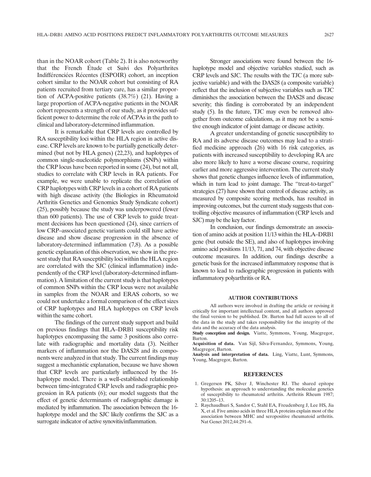than in the NOAR cohort (Table 2). It is also noteworthy that the French Étude et Suivi des Polyarthrites Indifférenciées Récentes (ESPOIR) cohort, an inception cohort similar to the NOAR cohort but consisting of RA patients recruited from tertiary care, has a similar proportion of ACPA-positive patients (38.7%) (21). Having a large proportion of ACPA-negative patients in the NOAR cohort represents a strength of our study, as it provides sufficient power to determine the role of ACPAs in the path to clinical and laboratory-determined inflammation.

It is remarkable that CRP levels are controlled by RA susceptibility loci within the HLA region in active disease. CRP levels are known to be partially genetically determined (but not by HLA genes) (22,23), and haplotypes of common single-nucleotide polymorphisms (SNPs) within the CRP locus have been reported in some (24), but not all, studies to correlate with CRP levels in RA patients. For example, we were unable to replicate the correlation of CRP haplotypes with CRP levels in a cohort of RA patients with high disease activity (the Biologics in Rheumatoid Arthritis Genetics and Genomics Study Syndicate cohort) (25), possibly because the study was underpowered (fewer than 600 patients). The use of CRP levels to guide treatment decisions has been questioned (24), since carriers of low CRP–associated genetic variants could still have active disease and show disease progression in the absence of laboratory-determined inflammation (7,8). As a possible genetic explanation of this observation, we show in the present study that RA susceptibility loci within the HLA region are correlated with the SJC (clinical inflammation) independently of the CRP level (laboratory-determined inflammation). A limitation of the current study is that haplotypes of common SNPs within the CRP locus were not available in samples from the NOAR and ERAS cohorts, so we could not undertake a formal comparison of the effect sizes of CRP haplotypes and HLA haplotypes on CRP levels within the same cohort.

The findings of the current study support and build on previous findings that HLA–DRB1 susceptibility risk haplotypes encompassing the same 3 positions also correlate with radiographic and mortality data (3). Neither markers of inflammation nor the DAS28 and its components were analyzed in that study. The current findings may suggest a mechanistic explanation, because we have shown that CRP levels are particularly influenced by the 16 haplotype model. There is a well-established relationship between time-integrated CRP levels and radiographic progression in RA patients (6); our model suggests that the effect of genetic determinants of radiographic damage is mediated by inflammation. The association between the 16 haplotype model and the SJC likely confirms the SJC as a surrogate indicator of active synovitis/inflammation.

Stronger associations were found between the 16 haplotype model and objective variables studied, such as CRP levels and SJC. The results with the TJC (a more subjective variable) and with the DAS28 (a composite variable) reflect that the inclusion of subjective variables such as TJC diminishes the association between the DAS28 and disease severity; this finding is corroborated by an independent study (5). In the future, TJC may even be removed altogether from outcome calculations, as it may not be a sensitive enough indicator of joint damage or disease activity.

A greater understanding of genetic susceptibility to RA and its adverse disease outcomes may lead to a stratified medicine approach (26) with 16 risk categories, as patients with increased susceptibility to developing RA are also more likely to have a worse disease course, requiring earlier and more aggressive intervention. The current study shows that genetic changes influence levels of inflammation, which in turn lead to joint damage. The "treat-to-target" strategies (27) have shown that control of disease activity, as measured by composite scoring methods, has resulted in improving outcomes, but the current study suggests that controlling objective measures of inflammation (CRP levels and SJC) may be the key factor.

In conclusion, our findings demonstrate an association of amino acids at position 11/13 within the HLA–DRB1 gene (but outside the SE), and also of haplotypes involving amino acid positions 11/13, 71, and 74, with objective disease outcome measures. In addition, our findings describe a genetic basis for the increased inflammatory response that is known to lead to radiographic progression in patients with inflammatory polyarthritis or RA.

### AUTHOR CONTRIBUTIONS

All authors were involved in drafting the article or revising it critically for important intellectual content, and all authors approved the final version to be published. Dr. Barton had full access to all of the data in the study and takes responsibility for the integrity of the data and the accuracy of the data analysis.

Study conception and design. Viatte, Symmons, Young, Macgregor, Barton.

Acquisition of data. Van Sijl, Silva-Fernandez, Symmons, Young, Macgregor, Barton.

Analysis and interpretation of data. Ling, Viatte, Lunt, Symmons, Young, Macgregor, Barton.

#### **REFERENCES**

- 1. Gregersen PK, Silver J, Winchester RJ. The shared epitope hypothesis: an approach to understanding the molecular genetics of susceptibility to rheumatoid arthritis. Arthritis Rheum 1987; 30:1205–13.
- 2. Raychaudhuri S, Sandor C, Stahl EA, Freudenberg J, Lee HS, Jia X, et al. Five amino acids in three HLA proteins explain most of the association between MHC and seropositive rheumatoid arthritis. Nat Genet 2012;44:291–6.